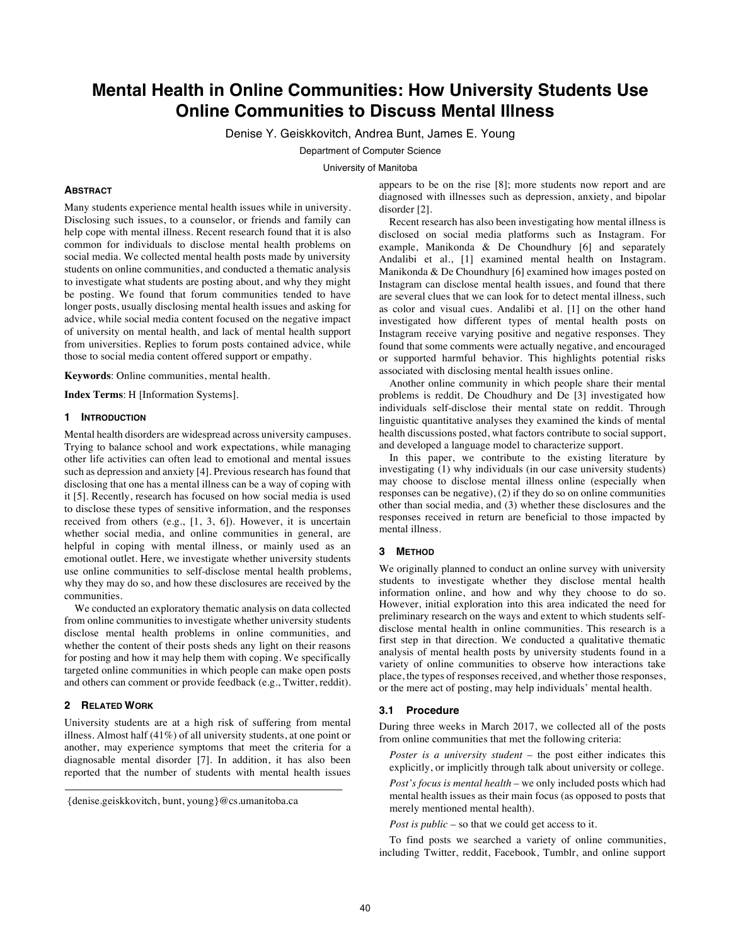# **Mental Health in Online Communities: How University Students Use Online Communities to Discuss Mental Illness**

Denise Y. Geiskkovitch, Andrea Bunt, James E. Young

Department of Computer Science

University of Manitoba

### **ABSTRACT**

Many students experience mental health issues while in university. Disclosing such issues, to a counselor, or friends and family can help cope with mental illness. Recent research found that it is also common for individuals to disclose mental health problems on social media. We collected mental health posts made by university students on online communities, and conducted a thematic analysis to investigate what students are posting about, and why they might be posting. We found that forum communities tended to have longer posts, usually disclosing mental health issues and asking for advice, while social media content focused on the negative impact of university on mental health, and lack of mental health support from universities. Replies to forum posts contained advice, while those to social media content offered support or empathy.

**Keywords**: Online communities, mental health.

**Index Terms**: H [Information Systems].

## **1 INTRODUCTION**

Mental health disorders are widespread across university campuses. Trying to balance school and work expectations, while managing other life activities can often lead to emotional and mental issues such as depression and anxiety [4]. Previous research has found that disclosing that one has a mental illness can be a way of coping with it [5]. Recently, research has focused on how social media is used to disclose these types of sensitive information, and the responses received from others (e.g., [1, 3, 6]). However, it is uncertain whether social media, and online communities in general, are helpful in coping with mental illness, or mainly used as an emotional outlet. Here, we investigate whether university students use online communities to self-disclose mental health problems, why they may do so, and how these disclosures are received by the communities.

We conducted an exploratory thematic analysis on data collected from online communities to investigate whether university students disclose mental health problems in online communities, and whether the content of their posts sheds any light on their reasons for posting and how it may help them with coping. We specifically targeted online communities in which people can make open posts and others can comment or provide feedback (e.g., Twitter, reddit).

#### **2 RELATED WORK**

University students are at a high risk of suffering from mental illness. Almost half (41%) of all university students, at one point or another, may experience symptoms that meet the criteria for a diagnosable mental disorder [7]. In addition, it has also been reported that the number of students with mental health issues appears to be on the rise [8]; more students now report and are diagnosed with illnesses such as depression, anxiety, and bipolar disorder [2].

Recent research has also been investigating how mental illness is disclosed on social media platforms such as Instagram. For example, Manikonda & De Choundhury [6] and separately Andalibi et al., [1] examined mental health on Instagram. Manikonda & De Choundhury [6] examined how images posted on Instagram can disclose mental health issues, and found that there are several clues that we can look for to detect mental illness, such as color and visual cues. Andalibi et al. [1] on the other hand investigated how different types of mental health posts on Instagram receive varying positive and negative responses. They found that some comments were actually negative, and encouraged or supported harmful behavior. This highlights potential risks associated with disclosing mental health issues online.

Another online community in which people share their mental problems is reddit. De Choudhury and De [3] investigated how individuals self-disclose their mental state on reddit. Through linguistic quantitative analyses they examined the kinds of mental health discussions posted, what factors contribute to social support, and developed a language model to characterize support.

In this paper, we contribute to the existing literature by investigating (1) why individuals (in our case university students) may choose to disclose mental illness online (especially when responses can be negative), (2) if they do so on online communities other than social media, and (3) whether these disclosures and the responses received in return are beneficial to those impacted by mental illness.

#### **3 METHOD**

We originally planned to conduct an online survey with university students to investigate whether they disclose mental health information online, and how and why they choose to do so. However, initial exploration into this area indicated the need for preliminary research on the ways and extent to which students selfdisclose mental health in online communities. This research is a first step in that direction. We conducted a qualitative thematic analysis of mental health posts by university students found in a variety of online communities to observe how interactions take place, the types of responses received, and whether those responses, or the mere act of posting, may help individuals' mental health.

## **3.1 Procedure**

During three weeks in March 2017, we collected all of the posts from online communities that met the following criteria:

*Poster is a university student* – the post either indicates this explicitly, or implicitly through talk about university or college.

*Post's focus is mental health* – we only included posts which had mental health issues as their main focus (as opposed to posts that merely mentioned mental health).

*Post is public* – so that we could get access to it.

To find posts we searched a variety of online communities, including Twitter, reddit, Facebook, Tumblr, and online support

<sup>{</sup>denise.geiskkovitch, bunt, young}@cs.umanitoba.ca